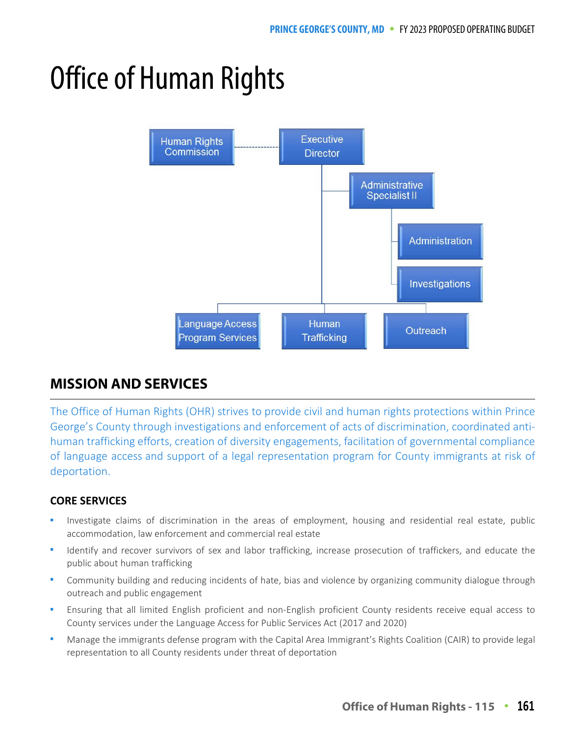# Office of Human Rights



## **MISSION AND SERVICES MISSION AND SERVICES**

The Office of Human Rights (OHR) strives to provide civil and human rights protections within Prince George's County through investigations and enforcement of acts of discrimination, coordinated antihuman trafficking efforts, creation of diversity engagements, facilitation of governmental compliance of language access and support of a legal representation program for County immigrants at risk of deportation.

## **CORE SERVICES**

- Investigate claims of discrimination in the areas of employment, housing and residential real estate, public accommodation, law enforcement and commercial real estate
- Identify and recover survivors of sex and labor trafficking, increase prosecution of traffickers, and educate the public about human trafficking
- Community building and reducing incidents of hate, bias and violence by organizing community dialogue through outreach and public engagement
- Ensuring that all limited English proficient and non-English proficient County residents receive equal access to County services under the Language Access for Public Services Act (2017 and 2020)
- Manage the immigrants defense program with the Capital Area Immigrant's Rights Coalition (CAIR) to provide legal representation to all County residents under threat of deportation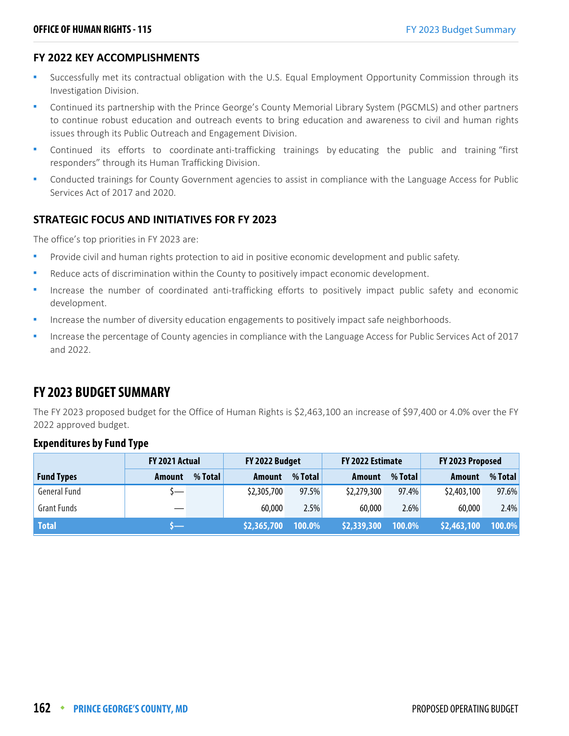### **FY 2022 KEY ACCOMPLISHMENTS**

- Successfully met its contractual obligation with the U.S. Equal Employment Opportunity Commission through its Investigation Division.
- Continued its partnership with the Prince George's County Memorial Library System (PGCMLS) and other partners to continue robust education and outreach events to bring education and awareness to civil and human rights issues through its Public Outreach and Engagement Division.
- Continued its efforts to coordinate anti-trafficking trainings by educating the public and training "first responders" through its Human Trafficking Division.
- Conducted trainings for County Government agencies to assist in compliance with the Language Access for Public Services Act of 2017 and 2020.

### **STRATEGIC FOCUS AND INITIATIVES FOR FY 2023**

The office's top priorities in FY 2023 are:

- Provide civil and human rights protection to aid in positive economic development and public safety.
- Reduce acts of discrimination within the County to positively impact economic development.
- Increase the number of coordinated anti-trafficking efforts to positively impact public safety and economic development.
- Increase the number of diversity education engagements to positively impact safe neighborhoods.
- Increase the percentage of County agencies in compliance with the Language Access for Public Services Act of 2017 and 2022.

# **FY 2023 BUDGET SUMMARY**

The FY 2023 proposed budget for the Office of Human Rights is \$2,463,100 an increase of \$97,400 or 4.0% over the FY 2022 approved budget.

### **Expenditures by Fund Type**

|                     | FY 2021 Actual |         | FY 2022 Budget |         | FY 2022 Estimate |         | FY 2023 Proposed |         |
|---------------------|----------------|---------|----------------|---------|------------------|---------|------------------|---------|
| <b>Fund Types</b>   | Amount         | % Total | <b>Amount</b>  | % Total | <b>Amount</b>    | % Total | Amount           | % Total |
| <b>General Fund</b> | $\overline{}$  |         | \$2,305,700    | 97.5%   | \$2,279,300      | 97.4%   | \$2,403,100      | 97.6%   |
| <b>Grant Funds</b>  |                |         | 60,000         | 2.5%    | 60,000           | 2.6%    | 60,000           | 2.4%    |
| <b>Total</b>        |                |         | \$2,365,700    | 100.0%  | \$2,339,300      | 100.0%  | \$2,463,100      | 100.0%  |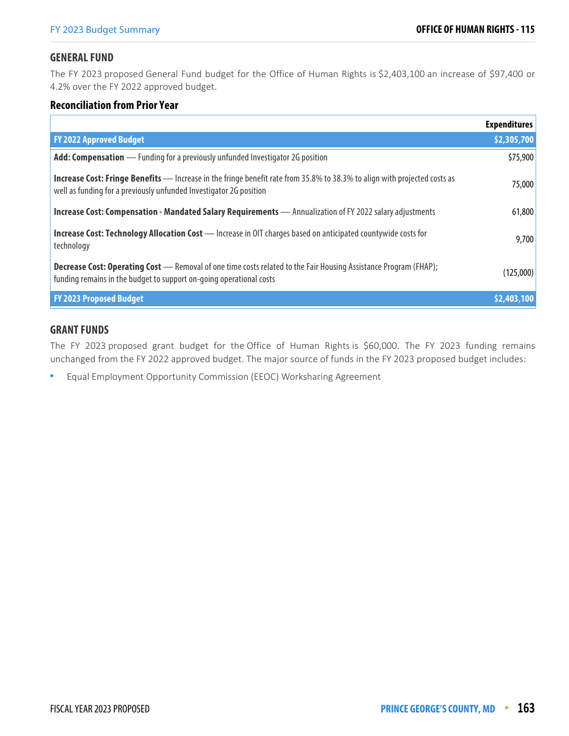### **GENERAL FUND**

The FY 2023 proposed General Fund budget for the Office of Human Rights is \$2,403,100 an increase of \$97,400 or 4.2% over the FY 2022 approved budget.

### **Reconciliation from Prior Year**

|                                                                                                                                                                                                        | <b>Expenditures</b> |
|--------------------------------------------------------------------------------------------------------------------------------------------------------------------------------------------------------|---------------------|
| <b>FY 2022 Approved Budget</b>                                                                                                                                                                         | \$2,305,700         |
| Add: Compensation — Funding for a previously unfunded Investigator 2G position                                                                                                                         | \$75,900            |
| <b>Increase Cost: Fringe Benefits</b> — Increase in the fringe benefit rate from 35.8% to 38.3% to align with projected costs as<br>well as funding for a previously unfunded Investigator 2G position | 75,000              |
| Increase Cost: Compensation - Mandated Salary Requirements - Annualization of FY 2022 salary adjustments                                                                                               | 61,800              |
| <b>Increase Cost: Technology Allocation Cost</b> - Increase in OIT charges based on anticipated countywide costs for<br>technology                                                                     | 9,700               |
| <b>Decrease Cost: Operating Cost</b> — Removal of one time costs related to the Fair Housing Assistance Program (FHAP);<br>funding remains in the budget to support on-going operational costs         | (125,000)           |
| <b>FY 2023 Proposed Budget</b>                                                                                                                                                                         | \$2,403,100         |

### **GRANT FUNDS**

The FY 2023 proposed grant budget for the Office of Human Rights is \$60,000. The FY 2023 funding remains unchanged from the FY 2022 approved budget. The major source of funds in the FY 2023 proposed budget includes:

Equal Employment Opportunity Commission (EEOC) Worksharing Agreement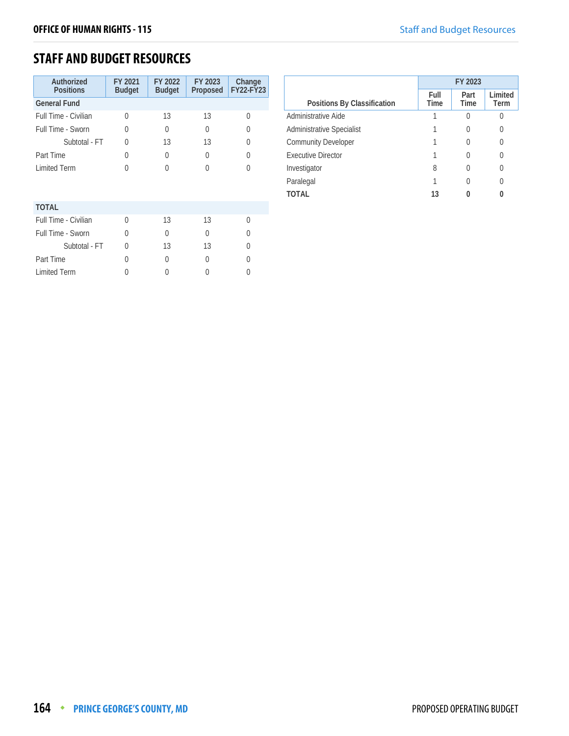# **STAFF AND BUDGET RESOURCES**

| Authorized<br><b>Positions</b> | FY 2021<br><b>Budget</b> | FY 2022<br><b>Budget</b> | FY 2023<br>Proposed | Change<br><b>FY22-FY23</b> |
|--------------------------------|--------------------------|--------------------------|---------------------|----------------------------|
| <b>General Fund</b>            |                          |                          |                     |                            |
| Full Time - Civilian           | 0                        | 13                       | 13                  | $\Omega$                   |
| Full Time - Sworn              | O                        | 0                        | $\Omega$            | 0                          |
| Subtotal - FT                  | $\Omega$                 | 13                       | 13                  | 0                          |
| Part Time                      | 0                        | 0                        | $\Omega$            | <sup>0</sup>               |
| <b>Limited Term</b>            | O                        | U                        | <sup>0</sup>        | U                          |
|                                |                          |                          |                     |                            |
|                                |                          |                          |                     |                            |
| <b>TOTAL</b>                   |                          |                          |                     |                            |
| Full Time - Civilian           | $\Omega$                 | 13                       | 13                  | <sup>0</sup>               |
| Full Time - Sworn              | U                        | U                        | 0                   | O                          |
| Subtotal - FT                  | U                        | 13                       | 13                  | O                          |
| Part Time                      | O                        | 0                        | <sup>0</sup>        | O                          |
| <b>Limited Term</b>            | 0                        |                          |                     |                            |

|                                  | FY 2023      |                     |                 |  |  |
|----------------------------------|--------------|---------------------|-----------------|--|--|
| Positions By Classification      | Full<br>Time | Part<br><b>Time</b> | Limited<br>Term |  |  |
| Administrative Aide              |              | 0                   | C               |  |  |
| <b>Administrative Specialist</b> |              | O                   | 0               |  |  |
| <b>Community Developer</b>       |              |                     |                 |  |  |
| <b>Executive Director</b>        |              |                     |                 |  |  |
| Investigator                     | 8            | 0                   | U               |  |  |
| Paralegal                        |              | $\left( \right)$    | 0               |  |  |
| TOTAL                            | 13           |                     |                 |  |  |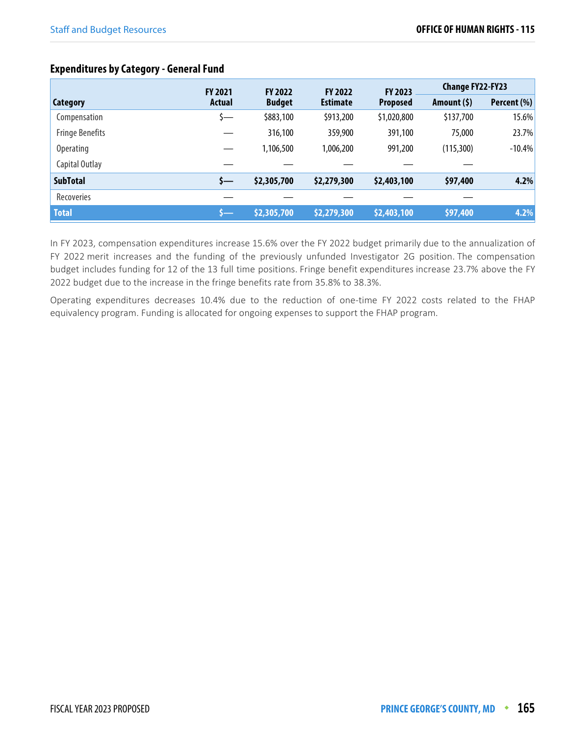# **Expenditures by Category - General Fund**

|                        | <b>FY 2021</b> | <b>FY 2022</b> | <b>FY 2022</b>  | <b>FY 2023</b>  | <b>Change FY22-FY23</b> |             |
|------------------------|----------------|----------------|-----------------|-----------------|-------------------------|-------------|
| <b>Category</b>        | Actual         | <b>Budget</b>  | <b>Estimate</b> | <b>Proposed</b> | Amount $(5)$            | Percent (%) |
| Compensation           | s—             | \$883,100      | \$913,200       | \$1,020,800     | \$137,700               | 15.6%       |
| <b>Fringe Benefits</b> |                | 316,100        | 359,900         | 391,100         | 75,000                  | 23.7%       |
| <b>Operating</b>       |                | 1,106,500      | 1,006,200       | 991,200         | (115, 300)              | $-10.4%$    |
| Capital Outlay         |                |                |                 |                 |                         |             |
| <b>SubTotal</b>        | s—             | \$2,305,700    | \$2,279,300     | \$2,403,100     | \$97,400                | 4.2%        |
| <b>Recoveries</b>      |                |                |                 |                 |                         |             |
| <b>Total</b>           | s—             | \$2,305,700    | \$2,279,300     | \$2,403,100     | \$97,400                | 4.2%        |

In FY 2023, compensation expenditures increase 15.6% over the FY 2022 budget primarily due to the annualization of FY 2022 merit increases and the funding of the previously unfunded Investigator 2G position. The compensation budget includes funding for 12 of the 13 full time positions. Fringe benefit expenditures increase 23.7% above the FY 2022 budget due to the increase in the fringe benefits rate from 35.8% to 38.3%.

Operating expenditures decreases 10.4% due to the reduction of one-time FY 2022 costs related to the FHAP equivalency program. Funding is allocated for ongoing expenses to support the FHAP program.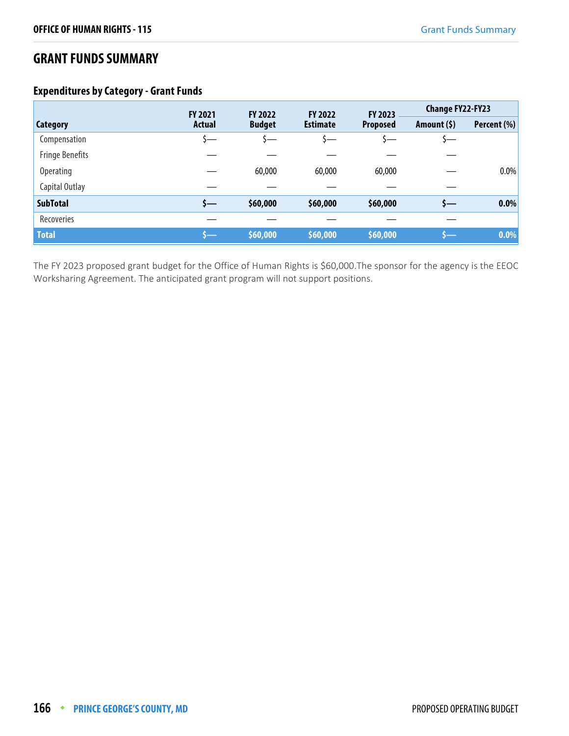# **GRANT FUNDS SUMMARY**

### **Expenditures by Category - Grant Funds**

|                        | FY 2021<br><b>FY 2022</b> |               | <b>FY 2022</b>  | FY 2023         | <b>Change FY22-FY23</b> |             |
|------------------------|---------------------------|---------------|-----------------|-----------------|-------------------------|-------------|
| <b>Category</b>        | <b>Actual</b>             | <b>Budget</b> | <b>Estimate</b> | <b>Proposed</b> | Amount $(5)$            | Percent (%) |
| Compensation           | s—                        |               | <u>ა—</u>       |                 |                         |             |
| <b>Fringe Benefits</b> |                           |               |                 |                 |                         |             |
| <b>Operating</b>       |                           | 60,000        | 60,000          | 60,000          |                         | $0.0\%$     |
| Capital Outlay         |                           |               |                 |                 |                         |             |
| <b>SubTotal</b>        | s—                        | \$60,000      | \$60,000        | \$60,000        | s—                      | 0.0%        |
| Recoveries             |                           |               |                 |                 |                         |             |
| <b>Total</b>           |                           | \$60,000      | \$60,000        | \$60,000        |                         | 0.0%        |

The FY 2023 proposed grant budget for the Office of Human Rights is \$60,000.The sponsor for the agency is the EEOC Worksharing Agreement. The anticipated grant program will not support positions.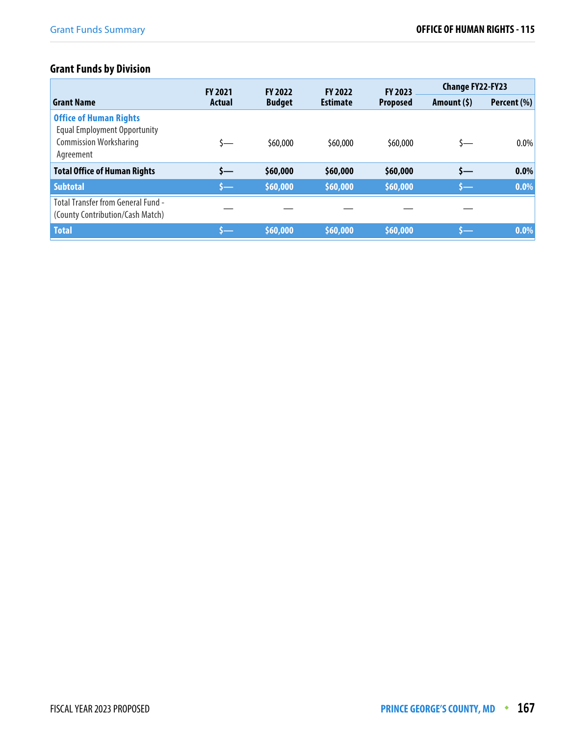# **Grant Funds by Division**

|                                                                                                                    | <b>FY 2023</b><br><b>FY 2022</b><br><b>FY 2021</b><br><b>FY 2022</b> |               |                 | <b>Change FY22-FY23</b> |              |             |
|--------------------------------------------------------------------------------------------------------------------|----------------------------------------------------------------------|---------------|-----------------|-------------------------|--------------|-------------|
| <b>Grant Name</b>                                                                                                  | Actual                                                               | <b>Budget</b> | <b>Estimate</b> | <b>Proposed</b>         | Amount $(5)$ | Percent (%) |
| <b>Office of Human Rights</b><br><b>Equal Employment Opportunity</b><br><b>Commission Worksharing</b><br>Agreement | ≮—                                                                   | \$60,000      | \$60,000        | \$60,000                | S—           | $0.0\%$     |
| <b>Total Office of Human Rights</b>                                                                                | \$—                                                                  | \$60,000      | \$60,000        | \$60,000                | \$—          | 0.0%        |
| <b>Subtotal</b>                                                                                                    | $\mathsf{S}$ —                                                       | \$60,000      | \$60,000        | \$60,000                | \$—          | 0.0%        |
| <b>Total Transfer from General Fund -</b><br>(County Contribution/Cash Match)                                      |                                                                      |               |                 |                         |              |             |
| <b>Total</b>                                                                                                       |                                                                      | \$60,000      | \$60,000        | \$60,000                | s—           | 0.0%        |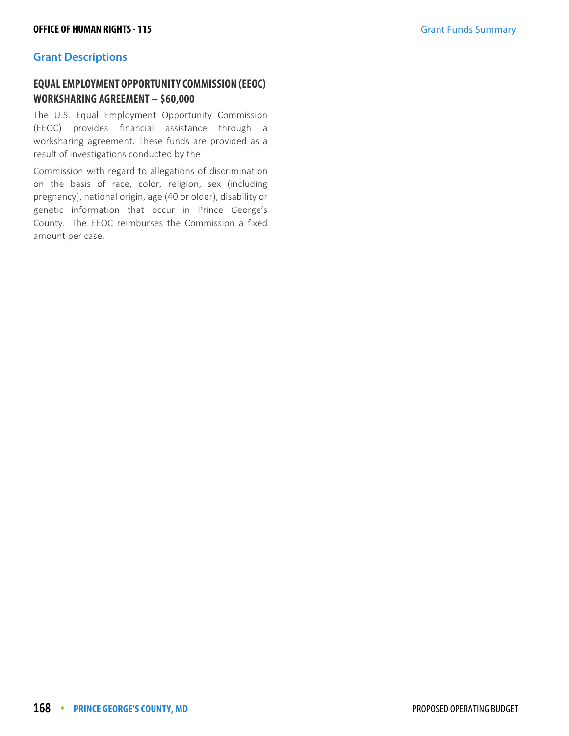### **Grant Descriptions**

### **EQUAL EMPLOYMENT OPPORTUNITY COMMISSION (EEOC) WORKSHARING AGREEMENT -- \$60,000**

The U.S. Equal Employment Opportunity Commission (EEOC) provides financial assistance through a worksharing agreement. These funds are provided as a result of investigations conducted by the

Commission with regard to allegations of discrimination on the basis of race, color, religion, sex (including pregnancy), national origin, age (40 or older), disability or genetic information that occur in Prince George's County. The EEOC reimburses the Commission a fixed amount per case.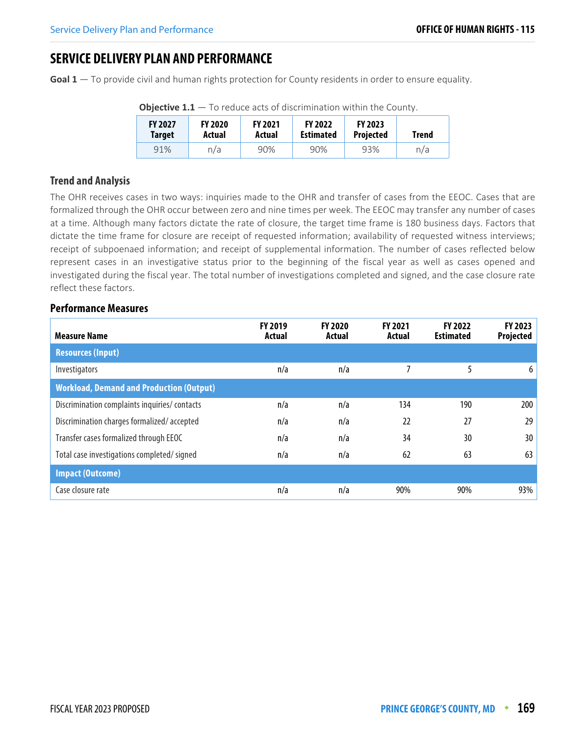# **SERVICE DELIVERY PLAN AND PERFORMANCE**

**Goal 1** — To provide civil and human rights protection for County residents in order to ensure equality.

| <b>FY 2027</b><br><b>Target</b> | <b>FY 2020</b><br>Actual | <b>FY 2021</b><br>Actual | <b>FY 2022</b><br><b>Estimated</b> | <b>FY 2023</b><br><b>Projected</b> | Trend |
|---------------------------------|--------------------------|--------------------------|------------------------------------|------------------------------------|-------|
| 91%                             | n/a                      | 90%                      | 90%                                | 93%                                | n/a   |

**Objective 1.1** – To reduce acts of discrimination within the County.

### **Trend and Analysis**

The OHR receives cases in two ways: inquiries made to the OHR and transfer of cases from the EEOC. Cases that are formalized through the OHR occur between zero and nine times per week. The EEOC may transfer any number of cases at a time. Although many factors dictate the rate of closure, the target time frame is 180 business days. Factors that dictate the time frame for closure are receipt of requested information; availability of requested witness interviews; receipt of subpoenaed information; and receipt of supplemental information. The number of cases reflected below represent cases in an investigative status prior to the beginning of the fiscal year as well as cases opened and investigated during the fiscal year. The total number of investigations completed and signed, and the case closure rate reflect these factors.

| <b>Measure Name</b>                             | <b>FY 2019</b><br>Actual | <b>FY 2020</b><br>Actual | <b>FY 2021</b><br>Actual | <b>FY 2022</b><br><b>Estimated</b> | FY 2023<br><b>Projected</b> |
|-------------------------------------------------|--------------------------|--------------------------|--------------------------|------------------------------------|-----------------------------|
| <b>Resources (Input)</b>                        |                          |                          |                          |                                    |                             |
| Investigators                                   | n/a                      | n/a                      |                          | 5                                  | 6                           |
| <b>Workload, Demand and Production (Output)</b> |                          |                          |                          |                                    |                             |
| Discrimination complaints inquiries/contacts    | n/a                      | n/a                      | 134                      | 190                                | 200                         |
| Discrimination charges formalized/accepted      | n/a                      | n/a                      | 22                       | 27                                 | 29                          |
| Transfer cases formalized through EEOC          | n/a                      | n/a                      | 34                       | 30                                 | 30                          |
| Total case investigations completed/signed      | n/a                      | n/a                      | 62                       | 63                                 | 63                          |
| <b>Impact (Outcome)</b>                         |                          |                          |                          |                                    |                             |
| Case closure rate                               | n/a                      | n/a                      | 90%                      | 90%                                | 93%                         |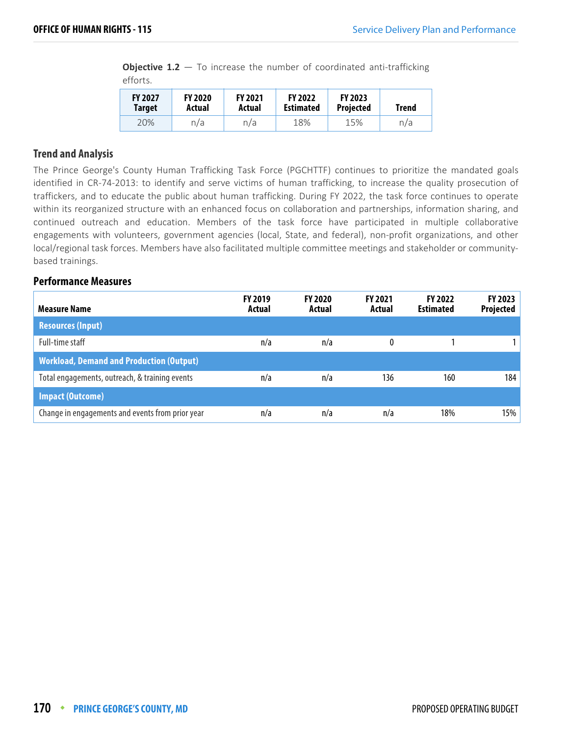**Objective 1.2** – To increase the number of coordinated anti-trafficking efforts.

| <b>FY 2027</b> | <b>FY 2020</b> | <b>FY 2021</b> | <b>FY 2022</b>   | <b>FY 2023</b>   | Trend |
|----------------|----------------|----------------|------------------|------------------|-------|
| <b>Target</b>  | Actual         | Actual         | <b>Estimated</b> | <b>Projected</b> |       |
| 20%            | n/a            | n/a            | 18%              | 15%              | n/a   |

### **Trend and Analysis**

The Prince George's County Human Trafficking Task Force (PGCHTTF) continues to prioritize the mandated goals identified in CR-74-2013: to identify and serve victims of human trafficking, to increase the quality prosecution of traffickers, and to educate the public about human trafficking. During FY 2022, the task force continues to operate within its reorganized structure with an enhanced focus on collaboration and partnerships, information sharing, and continued outreach and education. Members of the task force have participated in multiple collaborative engagements with volunteers, government agencies (local, State, and federal), non-profit organizations, and other local/regional task forces. Members have also facilitated multiple committee meetings and stakeholder or communitybased trainings.

| Measure Name                                     | <b>FY 2019</b><br>Actual | <b>FY 2020</b><br>Actual | <b>FY 2021</b><br>Actual | <b>FY 2022</b><br><b>Estimated</b> | <b>FY 2023</b><br>Projected |
|--------------------------------------------------|--------------------------|--------------------------|--------------------------|------------------------------------|-----------------------------|
| <b>Resources (Input)</b>                         |                          |                          |                          |                                    |                             |
| Full-time staff                                  | n/a                      | n/a                      |                          |                                    |                             |
| <b>Workload, Demand and Production (Output)</b>  |                          |                          |                          |                                    |                             |
| Total engagements, outreach, & training events   | n/a                      | n/a                      | 136                      | 160                                | 184                         |
| <b>Impact (Outcome)</b>                          |                          |                          |                          |                                    |                             |
| Change in engagements and events from prior year | n/a                      | n/a                      | n/a                      | 18%                                | 15%                         |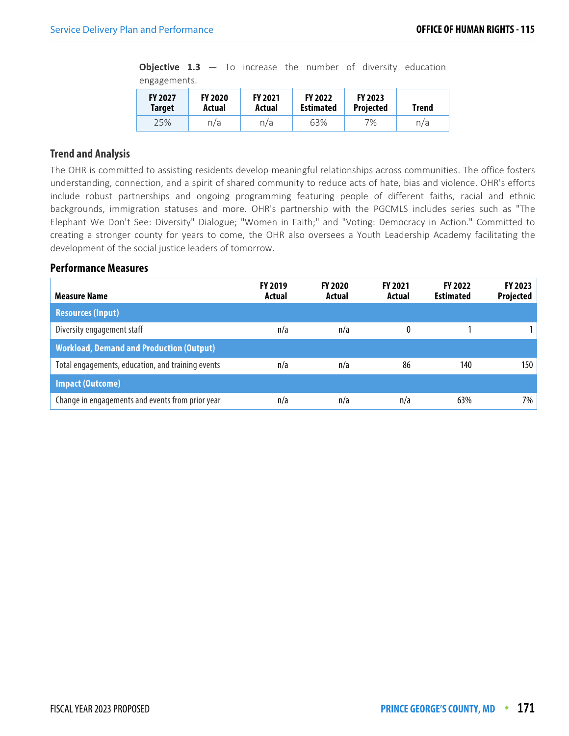**Objective 1.3** – To increase the number of diversity education engagements.

| <b>FY 2027</b> | <b>FY 2020</b> | <b>FY 2021</b> | <b>FY 2022</b>   | <b>FY 2023</b>   | <b>Trend</b> |
|----------------|----------------|----------------|------------------|------------------|--------------|
| <b>Target</b>  | Actual         | Actual         | <b>Estimated</b> | <b>Projected</b> |              |
| 25%            | n/a            | n/a            | 63%              | 7%               | n/a          |

### **Trend and Analysis**

The OHR is committed to assisting residents develop meaningful relationships across communities. The office fosters understanding, connection, and a spirit of shared community to reduce acts of hate, bias and violence. OHR's efforts include robust partnerships and ongoing programming featuring people of different faiths, racial and ethnic backgrounds, immigration statuses and more. OHR's partnership with the PGCMLS includes series such as "The Elephant We Don't See: Diversity" Dialogue; "Women in Faith;" and "Voting: Democracy in Action." Committed to creating a stronger county for years to come, the OHR also oversees a Youth Leadership Academy facilitating the development of the social justice leaders of tomorrow.

| Measure Name                                      | <b>FY 2019</b><br>Actual | <b>FY 2020</b><br>Actual | <b>FY 2021</b><br>Actual | <b>FY 2022</b><br><b>Estimated</b> | <b>FY 2023</b><br>Projected |
|---------------------------------------------------|--------------------------|--------------------------|--------------------------|------------------------------------|-----------------------------|
| <b>Resources (Input)</b>                          |                          |                          |                          |                                    |                             |
| Diversity engagement staff                        | n/a                      | n/a                      |                          |                                    |                             |
| <b>Workload, Demand and Production (Output)</b>   |                          |                          |                          |                                    |                             |
| Total engagements, education, and training events | n/a                      | n/a                      | 86                       | 140                                | 150                         |
| <b>Impact (Outcome)</b>                           |                          |                          |                          |                                    |                             |
| Change in engagements and events from prior year  | n/a                      | n/a                      | n/a                      | 63%                                | 7%                          |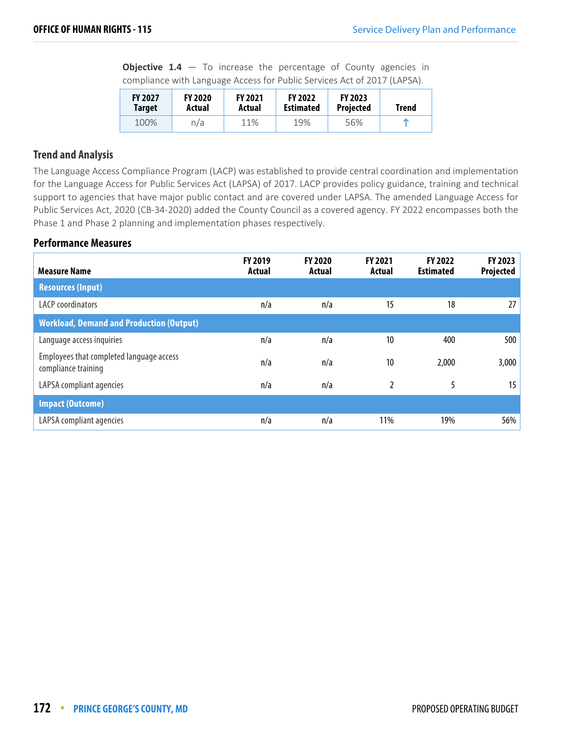**Objective 1.4** – To increase the percentage of County agencies in compliance with Language Access for Public Services Act of 2017 (LAPSA).

| <b>FY 2027</b> | <b>FY 2020</b> | <b>FY 2021</b> | <b>FY 2022</b>   | <b>FY 2023</b>   | Trend |
|----------------|----------------|----------------|------------------|------------------|-------|
| <b>Target</b>  | Actual         | Actual         | <b>Estimated</b> | <b>Projected</b> |       |
| 100%           | n/a            | 11%            | 19%              | 56%              | m     |

### **Trend and Analysis**

The Language Access Compliance Program (LACP) was established to provide central coordination and implementation for the Language Access for Public Services Act (LAPSA) of 2017. LACP provides policy guidance, training and technical support to agencies that have major public contact and are covered under LAPSA. The amended Language Access for Public Services Act, 2020 (CB-34-2020) added the County Council as a covered agency. FY 2022 encompasses both the Phase 1 and Phase 2 planning and implementation phases respectively.

| <b>Measure Name</b>                                             | FY 2019<br>Actual | <b>FY 2020</b><br>Actual | <b>FY 2021</b><br>Actual | FY 2022<br><b>Estimated</b> | FY 2023<br><b>Projected</b> |
|-----------------------------------------------------------------|-------------------|--------------------------|--------------------------|-----------------------------|-----------------------------|
| <b>Resources (Input)</b>                                        |                   |                          |                          |                             |                             |
| <b>LACP</b> coordinators                                        | n/a               | n/a                      | 15                       | 18                          | 27                          |
| <b>Workload, Demand and Production (Output)</b>                 |                   |                          |                          |                             |                             |
| Language access inquiries                                       | n/a               | n/a                      | 10                       | 400                         | 500                         |
| Employees that completed language access<br>compliance training | n/a               | n/a                      | 10                       | 2,000                       | 3,000                       |
| LAPSA compliant agencies                                        | n/a               | n/a                      | $\mathfrak{p}$           | 5                           | 15                          |
| <b>Impact (Outcome)</b>                                         |                   |                          |                          |                             |                             |
| LAPSA compliant agencies                                        | n/a               | n/a                      | 11%                      | 19%                         | 56%                         |